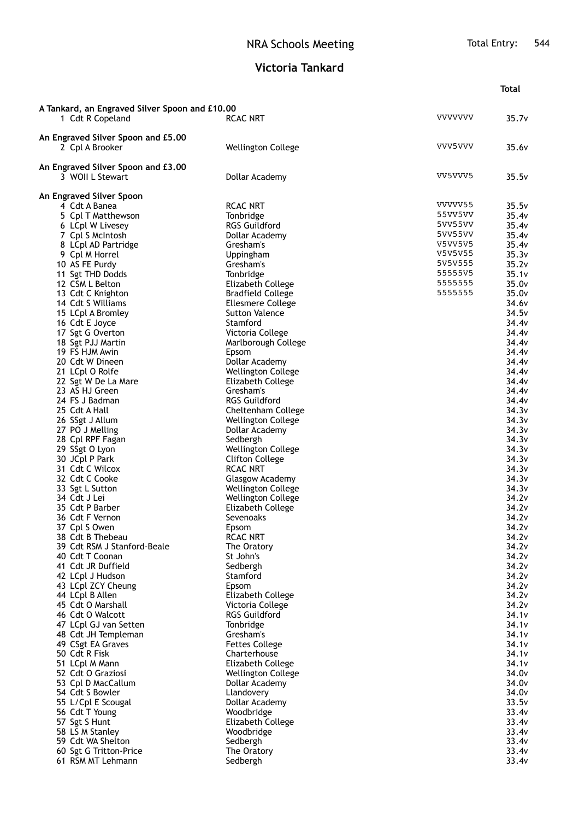## **Victoria Tankard**

|                                                                    |                                                        |                    | <b>Total</b>      |
|--------------------------------------------------------------------|--------------------------------------------------------|--------------------|-------------------|
|                                                                    |                                                        |                    |                   |
| A Tankard, an Engraved Silver Spoon and £10.00<br>1 Cdt R Copeland | <b>RCAC NRT</b>                                        | <b>VVVVVVV</b>     | 35.7v             |
|                                                                    |                                                        |                    |                   |
| An Engraved Silver Spoon and £5.00                                 |                                                        | VVV5VVV            |                   |
| 2 Cpl A Brooker                                                    | <b>Wellington College</b>                              |                    | 35.6v             |
| An Engraved Silver Spoon and £3.00                                 |                                                        |                    |                   |
| 3 WOII L Stewart                                                   | Dollar Academy                                         | VV5VVV5            | 35.5v             |
| An Engraved Silver Spoon                                           |                                                        |                    |                   |
| 4 Cdt A Banea                                                      | <b>RCAC NRT</b>                                        | VVVVV55            | 35.5v             |
| 5 Cpl T Matthewson                                                 | Tonbridge                                              | 55VV5VV            | 35.4v             |
| 6 LCpl W Livesey                                                   | <b>RGS Guildford</b>                                   | 5VV55VV            | 35.4v             |
| 7 Cpl S McIntosh                                                   | Dollar Academy                                         | 5VV55VV            | 35.4v             |
| 8 LCpl AD Partridge                                                | Gresham's                                              | V5VV5V5            | 35.4v             |
| 9 Cpl M Horrel                                                     | Uppingham                                              | V5V5V55<br>5V5V555 | 35.3v             |
| 10 AS FE Purdy<br>11 Sgt THD Dodds                                 | Gresham's<br>Tonbridge                                 | 55555V5            | 35.2v<br>35.1v    |
| 12 CSM L Belton                                                    | Elizabeth College                                      | 5555555            | 35.0v             |
| 13 Cdt C Knighton                                                  | <b>Bradfield College</b>                               | 5555555            | 35.0 <sub>v</sub> |
| 14 Cdt S Williams                                                  | <b>Ellesmere College</b>                               |                    | 34.6v             |
| 15 LCpl A Bromley                                                  | <b>Sutton Valence</b>                                  |                    | 34.5v             |
| 16 Cdt E Joyce                                                     | Stamford                                               |                    | 34.4v             |
| 17 Sgt G Overton                                                   | Victoria College                                       |                    | 34.4v             |
| 18 Sgt PJJ Martin                                                  | Marlborough College                                    |                    | 34.4v             |
| 19 FS HJM Awin                                                     | Epsom                                                  |                    | 34.4 <sub>v</sub> |
| 20 Cdt W Dineen                                                    | Dollar Academy                                         |                    | 34.4v             |
| 21 LCpl O Rolfe                                                    | <b>Wellington College</b>                              |                    | 34.4v<br>34.4v    |
| 22 Sgt W De La Mare<br>23 AS HJ Green                              | Elizabeth College<br>Gresham's                         |                    | 34.4v             |
| 24 FS J Badman                                                     | <b>RGS Guildford</b>                                   |                    | 34.4v             |
| 25 Cdt A Hall                                                      | Cheltenham College                                     |                    | 34.3v             |
| 26 SSgt J Allum                                                    | <b>Wellington College</b>                              |                    | 34.3v             |
| 27 PO J Melling                                                    | Dollar Academy                                         |                    | 34.3v             |
| 28 Cpl RPF Fagan                                                   | Sedbergh                                               |                    | 34.3v             |
| 29 SSgt O Lyon                                                     | <b>Wellington College</b>                              |                    | 34.3v             |
| 30 JCpl P Park                                                     | <b>Clifton College</b>                                 |                    | 34.3v             |
| 31 Cdt C Wilcox                                                    | <b>RCAC NRT</b>                                        |                    | 34.3v             |
| 32 Cdt C Cooke                                                     | Glasgow Academy                                        |                    | 34.3v<br>34.3v    |
| 33 Sgt L Sutton<br>34 Cdt J Lei                                    | <b>Wellington College</b><br><b>Wellington College</b> |                    | 34.2v             |
| 35 Cdt P Barber                                                    | Elizabeth College                                      |                    | 34.2v             |
| 36 Cdt F Vernon                                                    | <b>Sevenoaks</b>                                       |                    | 34.2v             |
| 37 Cpl S Owen                                                      | Epsom                                                  |                    | 34.2v             |
| 38 Cdt B Thebeau                                                   | RCAC NRT                                               |                    | 34.2v             |
| 39 Cdt RSM J Stanford-Beale                                        | The Oratory                                            |                    | 34.2v             |
| 40 Cdt T Coonan                                                    | St John's                                              |                    | 34.2v             |
| 41 Cdt JR Duffield                                                 | Sedbergh                                               |                    | 34.2v             |
| 42 LCpl J Hudson                                                   | Stamford                                               |                    | 34.2v<br>34.2v    |
| 43 LCpl ZCY Cheung<br>44 LCpl B Allen                              | Epsom<br>Elizabeth College                             |                    | 34.2v             |
| 45 Cdt O Marshall                                                  | Victoria College                                       |                    | 34.2v             |
| 46 Cdt O Walcott                                                   | <b>RGS Guildford</b>                                   |                    | 34.1v             |
| 47 LCpl GJ van Setten                                              | Tonbridge                                              |                    | 34.1v             |
| 48 Cdt JH Templeman                                                | Gresham's                                              |                    | 34.1v             |
| 49 CSgt EA Graves                                                  | <b>Fettes College</b>                                  |                    | 34.1v             |
| 50 Cdt R Fisk                                                      | Charterhouse                                           |                    | 34.1v             |
| 51 LCpl M Mann                                                     | Elizabeth College                                      |                    | 34.1v             |
| 52 Cdt O Graziosi                                                  | <b>Wellington College</b>                              |                    | 34.0v             |
| 53 Cpl D MacCallum<br>54 Cdt S Bowler                              | Dollar Academy<br>Llandovery                           |                    | 34.0v<br>34.0v    |
| 55 L/Cpl E Scougal                                                 | Dollar Academy                                         |                    | 33.5v             |
| 56 Cdt T Young                                                     | Woodbridge                                             |                    | 33.4v             |
| 57 Sgt S Hunt                                                      | Elizabeth College                                      |                    | 33.4v             |
| 58 LS M Stanley                                                    | Woodbridge                                             |                    | 33.4v             |
| 59 Cdt WA Shelton                                                  | Sedbergh                                               |                    | 33.4v             |
| 60 Sgt G Tritton-Price                                             | The Oratory                                            |                    | 33.4v             |
| 61 RSM MT Lehmann                                                  | Sedbergh                                               |                    | 33.4v             |